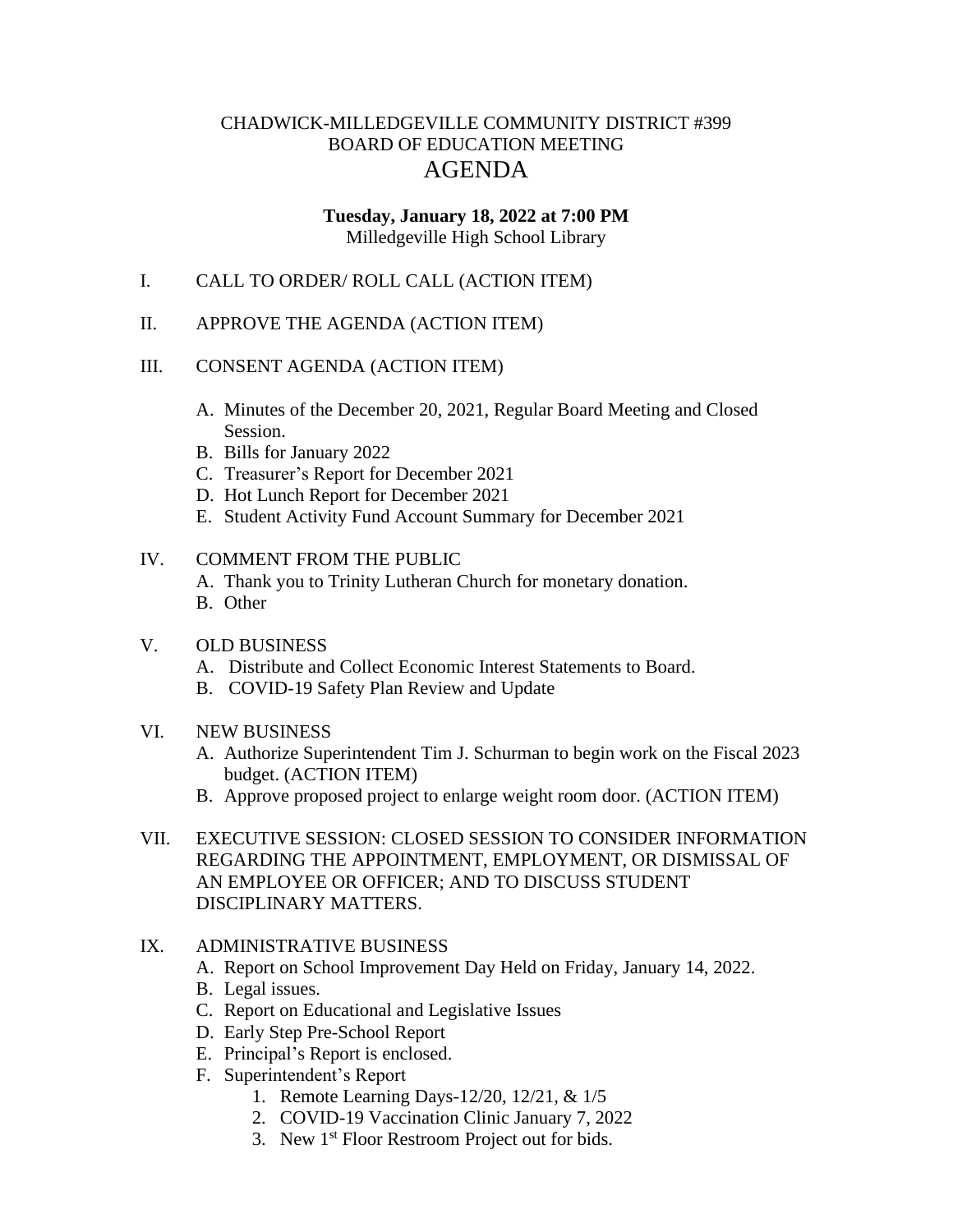# CHADWICK-MILLEDGEVILLE COMMUNITY DISTRICT #399 BOARD OF EDUCATION MEETING AGENDA

#### **Tuesday, January 18, 2022 at 7:00 PM** Milledgeville High School Library

- I. CALL TO ORDER/ ROLL CALL (ACTION ITEM)
- II. APPROVE THE AGENDA (ACTION ITEM)

#### III. CONSENT AGENDA (ACTION ITEM)

- A. Minutes of the December 20, 2021, Regular Board Meeting and Closed Session.
- B. Bills for January 2022
- C. Treasurer's Report for December 2021
- D. Hot Lunch Report for December 2021
- E. Student Activity Fund Account Summary for December 2021

#### IV. COMMENT FROM THE PUBLIC

- A. Thank you to Trinity Lutheran Church for monetary donation.
- B. Other

## V. OLD BUSINESS

- A. Distribute and Collect Economic Interest Statements to Board.
- B. COVID-19 Safety Plan Review and Update
- VI. NEW BUSINESS
	- A. Authorize Superintendent Tim J. Schurman to begin work on the Fiscal 2023 budget. (ACTION ITEM)
	- B. Approve proposed project to enlarge weight room door. (ACTION ITEM)
- VII. EXECUTIVE SESSION: CLOSED SESSION TO CONSIDER INFORMATION REGARDING THE APPOINTMENT, EMPLOYMENT, OR DISMISSAL OF AN EMPLOYEE OR OFFICER; AND TO DISCUSS STUDENT DISCIPLINARY MATTERS.

## IX. ADMINISTRATIVE BUSINESS

- A. Report on School Improvement Day Held on Friday, January 14, 2022.
- B. Legal issues.
- C. Report on Educational and Legislative Issues
- D. Early Step Pre-School Report
- E. Principal's Report is enclosed.
- F. Superintendent's Report
	- 1. Remote Learning Days-12/20, 12/21, & 1/5
	- 2. COVID-19 Vaccination Clinic January 7, 2022
	- 3. New 1<sup>st</sup> Floor Restroom Project out for bids.